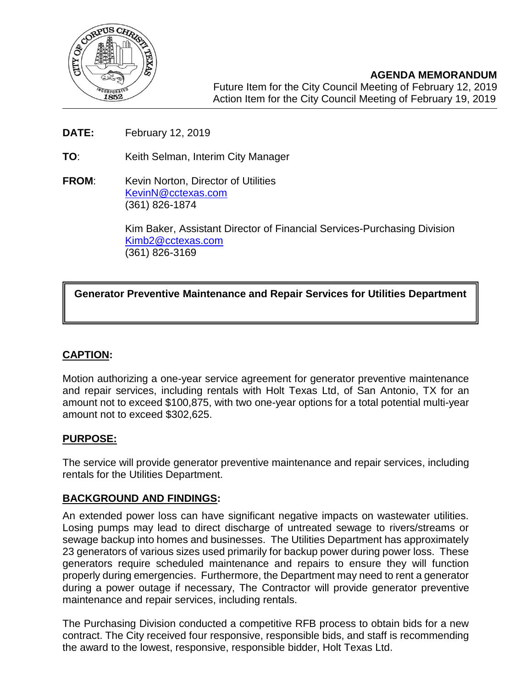

7214, 2017

 $\overline{\phantom{a}}$ 

- **DATE:** February 12, 2019
- **TO**: Keith Selman, Interim City Manager
- **FROM:** Kevin Norton, Director of Utilities [KevinN@cctexas.com](mailto:KevinN@cctexas.com) (361) 826-1874

Kim Baker, Assistant Director of Financial Services-Purchasing Division [Kimb2@cctexas.com](mailto:Kimb2@cctexas.com) (361) 826-3169

# **Generator Preventive Maintenance and Repair Services for Utilities Department**

## **CAPTION:**

Motion authorizing a one-year service agreement for generator preventive maintenance and repair services, including rentals with Holt Texas Ltd, of San Antonio, TX for an amount not to exceed \$100,875, with two one-year options for a total potential multi-year amount not to exceed \$302,625.

## **PURPOSE:**

The service will provide generator preventive maintenance and repair services, including rentals for the Utilities Department.

### **BACKGROUND AND FINDINGS:**

An extended power loss can have significant negative impacts on wastewater utilities. Losing pumps may lead to direct discharge of untreated sewage to rivers/streams or sewage backup into homes and businesses. The Utilities Department has approximately 23 generators of various sizes used primarily for backup power during power loss. These generators require scheduled maintenance and repairs to ensure they will function properly during emergencies. Furthermore, the Department may need to rent a generator during a power outage if necessary, The Contractor will provide generator preventive maintenance and repair services, including rentals.

The Purchasing Division conducted a competitive RFB process to obtain bids for a new contract. The City received four responsive, responsible bids, and staff is recommending the award to the lowest, responsive, responsible bidder, Holt Texas Ltd.